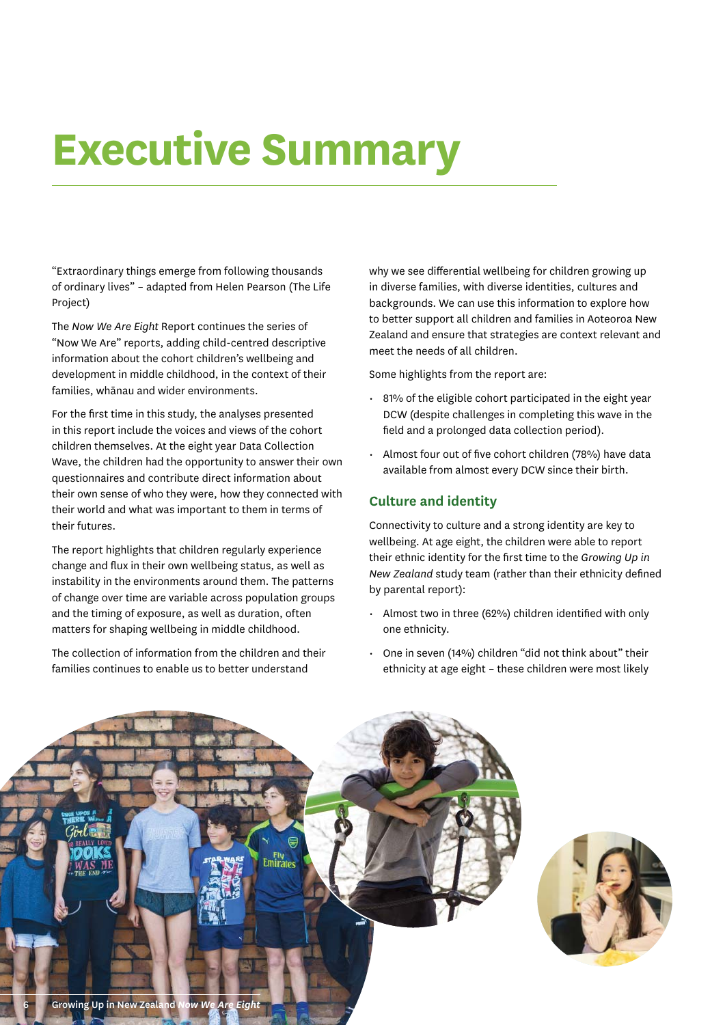# **Executive Summary**

"Extraordinary things emerge from following thousands of ordinary lives" – adapted from Helen Pearson (The Life Project)

The *Now We Are Eight* Report continues the series of "Now We Are" reports, adding child-centred descriptive information about the cohort children's wellbeing and development in middle childhood, in the context of their families, whānau and wider environments.

For the first time in this study, the analyses presented in this report include the voices and views of the cohort children themselves. At the eight year Data Collection Wave, the children had the opportunity to answer their own questionnaires and contribute direct information about their own sense of who they were, how they connected with their world and what was important to them in terms of their futures.

The report highlights that children regularly experience change and flux in their own wellbeing status, as well as instability in the environments around them. The patterns of change over time are variable across population groups and the timing of exposure, as well as duration, often matters for shaping wellbeing in middle childhood.

The collection of information from the children and their families continues to enable us to better understand

why we see differential wellbeing for children growing up in diverse families, with diverse identities, cultures and backgrounds. We can use this information to explore how to better support all children and families in Aoteoroa New Zealand and ensure that strategies are context relevant and meet the needs of all children.

Some highlights from the report are:

- 81% of the eligible cohort participated in the eight year DCW (despite challenges in completing this wave in the field and a prolonged data collection period).
- Almost four out of five cohort children (78%) have data available from almost every DCW since their birth.

# **Culture and identity**

Connectivity to culture and a strong identity are key to wellbeing. At age eight, the children were able to report their ethnic identity for the first time to the *Growing Up in New Zealand* study team (rather than their ethnicity defined by parental report):

- Almost two in three (62%) children identified with only one ethnicity.
- One in seven (14%) children "did not think about" their ethnicity at age eight – these children were most likely



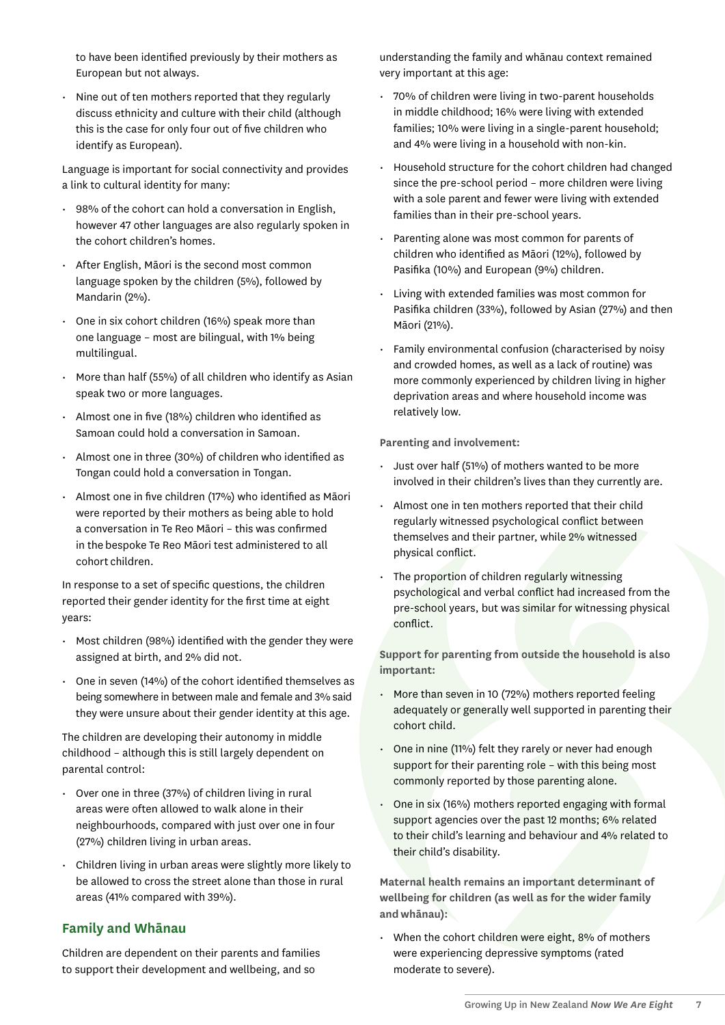to have been identified previously by their mothers as European but not always.

• Nine out of ten mothers reported that they regularly discuss ethnicity and culture with their child (although this is the case for only four out of five children who identify as European).

Language is important for social connectivity and provides a link to cultural identity for many:

- 98% of the cohort can hold a conversation in English, however 47 other languages are also regularly spoken in the cohort children's homes.
- After English, Māori is the second most common language spoken by the children (5%), followed by Mandarin (2%).
- One in six cohort children (16%) speak more than one language – most are bilingual, with 1% being multilingual.
- More than half (55%) of all children who identify as Asian speak two or more languages.
- Almost one in five (18%) children who identified as Samoan could hold a conversation in Samoan.
- $\cdot$  Almost one in three (30%) of children who identified as Tongan could hold a conversation in Tongan.
- $\cdot$  Almost one in five children (17%) who identified as Māori were reported by their mothers as being able to hold a conversation in Te Reo Māori - this was confirmed in the bespoke Te Reo Māori test administered to all cohort children.

In response to a set of specific questions, the children reported their gender identity for the first time at eight years:

- $\cdot$  Most children (98%) identified with the gender they were assigned at birth, and 2% did not.
- $\cdot$  One in seven (14%) of the cohort identified themselves as being somewhere in between male and female and 3% said they were unsure about their gender identity at this age.

The children are developing their autonomy in middle childhood – although this is still largely dependent on parental control:

- Over one in three (37%) of children living in rural areas were often allowed to walk alone in their neighbourhoods, compared with just over one in four (27%) children living in urban areas.
- Children living in urban areas were slightly more likely to be allowed to cross the street alone than those in rural areas (41% compared with 39%).

# **Family and Whānau**

Children are dependent on their parents and families to support their development and wellbeing, and so

understanding the family and whānau context remained very important at this age:

- 70% of children were living in two-parent households in middle childhood; 16% were living with extended families; 10% were living in a single-parent household; and 4% were living in a household with non-kin.
- Household structure for the cohort children had changed since the pre-school period – more children were living with a sole parent and fewer were living with extended families than in their pre-school years.
- Parenting alone was most common for parents of children who identified as Māori (12%), followed by Pasifika (10%) and European (9%) children.
- Living with extended families was most common for Pasifika children (33%), followed by Asian (27%) and then Māori (21%).
- Family environmental confusion (characterised by noisy and crowded homes, as well as a lack of routine) was more commonly experienced by children living in higher deprivation areas and where household income was relatively low.

**Parenting and involvement:**

- Just over half (51%) of mothers wanted to be more involved in their children's lives than they currently are.
- Almost one in ten mothers reported that their child regularly witnessed psychological conflict between themselves and their partner, while 2% witnessed physical conflict.
- The proportion of children regularly witnessing psychological and verbal conflict had increased from the pre-school years, but was similar for witnessing physical conflict.

**Support for parenting from outside the household is also important:**

- More than seven in 10 (72%) mothers reported feeling adequately or generally well supported in parenting their cohort child.
- One in nine (11%) felt they rarely or never had enough support for their parenting role – with this being most commonly reported by those parenting alone.
- One in six (16%) mothers reported engaging with formal support agencies over the past 12 months; 6% related to their child's learning and behaviour and 4% related to their child's disability.

**Maternal health remains an important determinant of wellbeing for children (as well as for the wider family and whānau):**

• When the cohort children were eight, 8% of mothers were experiencing depressive symptoms (rated moderate to severe).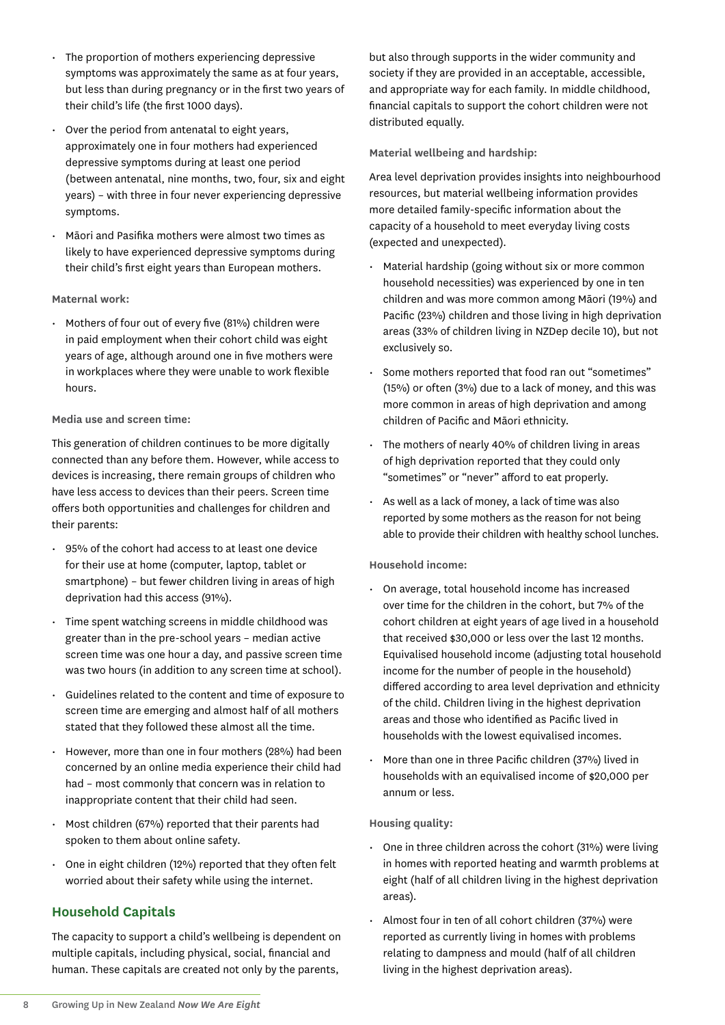- The proportion of mothers experiencing depressive symptoms was approximately the same as at four years, but less than during pregnancy or in the first two years of their child's life (the first 1000 days).
- Over the period from antenatal to eight years, approximately one in four mothers had experienced depressive symptoms during at least one period (between antenatal, nine months, two, four, six and eight years) – with three in four never experiencing depressive symptoms.
- Māori and Pasifika mothers were almost two times as likely to have experienced depressive symptoms during their child's first eight years than European mothers.

#### **Maternal work:**

• Mothers of four out of every five (81%) children were in paid employment when their cohort child was eight years of age, although around one in five mothers were in workplaces where they were unable to work flexible hours.

#### **Media use and screen time:**

This generation of children continues to be more digitally connected than any before them. However, while access to devices is increasing, there remain groups of children who have less access to devices than their peers. Screen time offers both opportunities and challenges for children and their parents:

- 95% of the cohort had access to at least one device for their use at home (computer, laptop, tablet or smartphone) – but fewer children living in areas of high deprivation had this access (91%).
- Time spent watching screens in middle childhood was greater than in the pre-school years – median active screen time was one hour a day, and passive screen time was two hours (in addition to any screen time at school).
- Guidelines related to the content and time of exposure to screen time are emerging and almost half of all mothers stated that they followed these almost all the time.
- However, more than one in four mothers (28%) had been concerned by an online media experience their child had had – most commonly that concern was in relation to inappropriate content that their child had seen.
- Most children (67%) reported that their parents had spoken to them about online safety.
- One in eight children (12%) reported that they often felt worried about their safety while using the internet.

# **Household Capitals**

The capacity to support a child's wellbeing is dependent on multiple capitals, including physical, social, financial and human. These capitals are created not only by the parents,

but also through supports in the wider community and society if they are provided in an acceptable, accessible, and appropriate way for each family. In middle childhood, financial capitals to support the cohort children were not distributed equally.

## **Material wellbeing and hardship:**

Area level deprivation provides insights into neighbourhood resources, but material wellbeing information provides more detailed family-specific information about the capacity of a household to meet everyday living costs (expected and unexpected).

- Material hardship (going without six or more common household necessities) was experienced by one in ten children and was more common among Māori (19%) and Pacific (23%) children and those living in high deprivation areas (33% of children living in NZDep decile 10), but not exclusively so.
- Some mothers reported that food ran out "sometimes" (15%) or often (3%) due to a lack of money, and this was more common in areas of high deprivation and among children of Pacific and Māori ethnicity.
- The mothers of nearly 40% of children living in areas of high deprivation reported that they could only "sometimes" or "never" afford to eat properly.
- As well as a lack of money, a lack of time was also reported by some mothers as the reason for not being able to provide their children with healthy school lunches.

#### **Household income:**

- On average, total household income has increased over time for the children in the cohort, but 7% of the cohort children at eight years of age lived in a household that received \$30,000 or less over the last 12 months. Equivalised household income (adjusting total household income for the number of people in the household) differed according to area level deprivation and ethnicity of the child. Children living in the highest deprivation areas and those who identified as Pacific lived in households with the lowest equivalised incomes.
- More than one in three Pacific children (37%) lived in households with an equivalised income of \$20,000 per annum or less.

#### **Housing quality:**

- One in three children across the cohort (31%) were living in homes with reported heating and warmth problems at eight (half of all children living in the highest deprivation areas).
- Almost four in ten of all cohort children (37%) were reported as currently living in homes with problems relating to dampness and mould (half of all children living in the highest deprivation areas).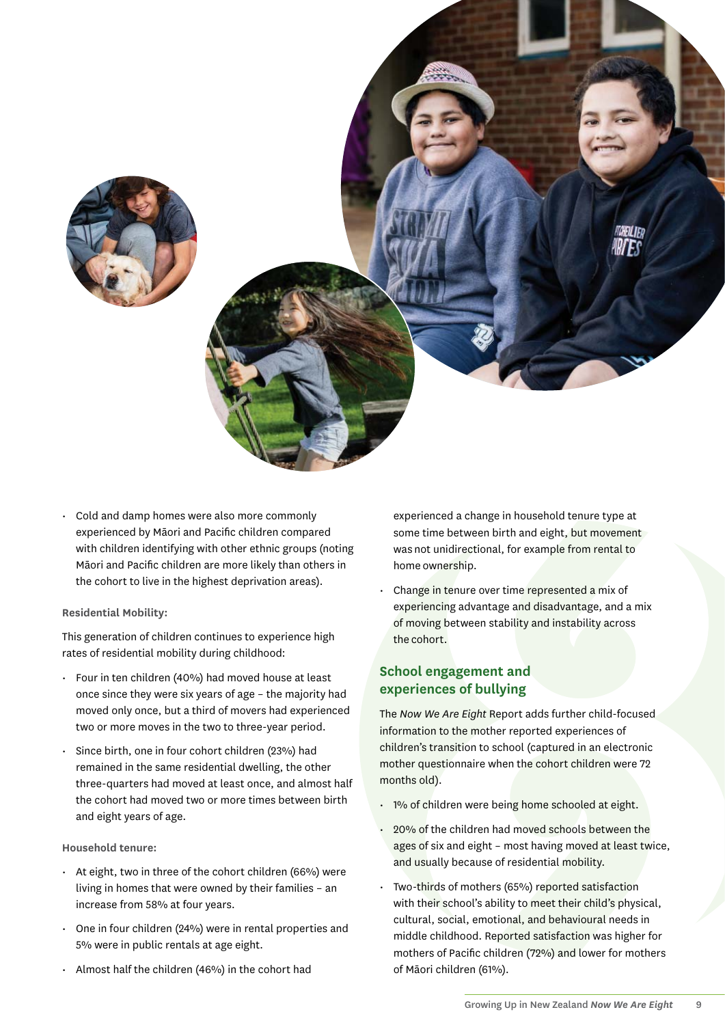



• Cold and damp homes were also more commonly experienced by Māori and Pacific children compared with children identifying with other ethnic groups (noting Māori and Pacific children are more likely than others in the cohort to live in the highest deprivation areas).

#### **Residential Mobility:**

This generation of children continues to experience high rates of residential mobility during childhood:

- Four in ten children (40%) had moved house at least once since they were six years of age – the majority had moved only once, but a third of movers had experienced two or more moves in the two to three-year period.
- Since birth, one in four cohort children (23%) had remained in the same residential dwelling, the other three-quarters had moved at least once, and almost half the cohort had moved two or more times between birth and eight years of age.

#### **Household tenure:**

- At eight, two in three of the cohort children (66%) were living in homes that were owned by their families – an increase from 58% at four years.
- One in four children (24%) were in rental properties and 5% were in public rentals at age eight.
- Almost half the children (46%) in the cohort had

experienced a change in household tenure type at some time between birth and eight, but movement was not unidirectional, for example from rental to home ownership.

Change in tenure over time represented a mix of experiencing advantage and disadvantage, and a mix of moving between stability and instability across the cohort.

# **School engagement and experiences of bullying**

The *Now We Are Eight* Report adds further child-focused information to the mother reported experiences of children's transition to school (captured in an electronic mother questionnaire when the cohort children were 72 months old).

- 1% of children were being home schooled at eight.
- 20% of the children had moved schools between the ages of six and eight – most having moved at least twice, and usually because of residential mobility.
- Two-thirds of mothers (65%) reported satisfaction with their school's ability to meet their child's physical, cultural, social, emotional, and behavioural needs in middle childhood. Reported satisfaction was higher for mothers of Pacific children (72%) and lower for mothers of Māori children (61%).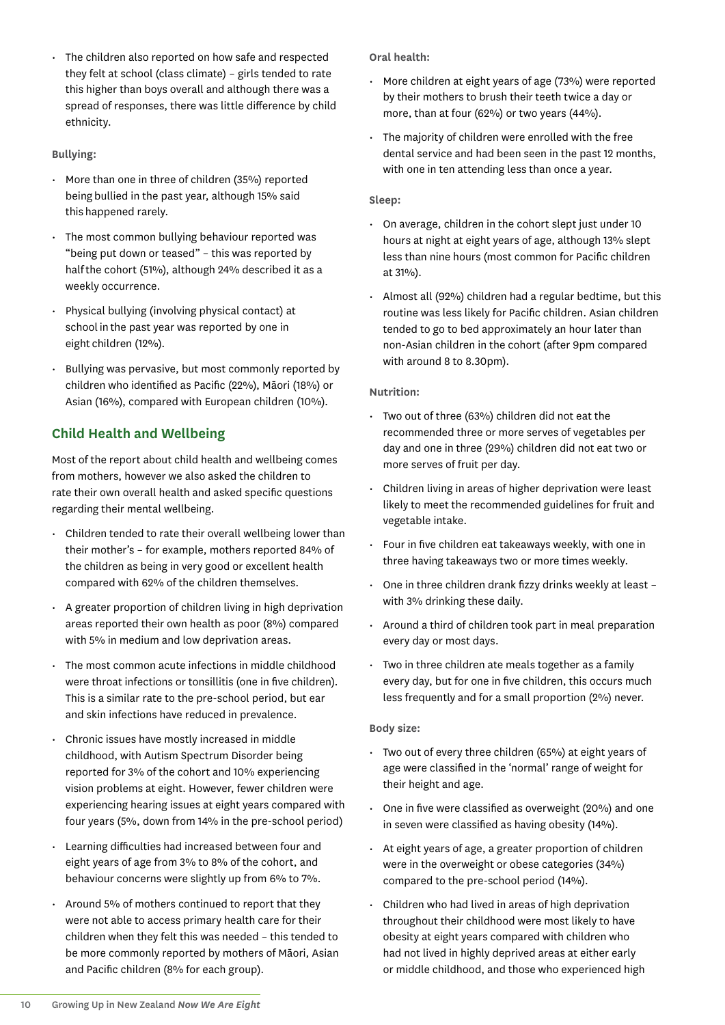• The children also reported on how safe and respected they felt at school (class climate) – girls tended to rate this higher than boys overall and although there was a spread of responses, there was little difference by child ethnicity.

#### **Bullying:**

- More than one in three of children (35%) reported being bullied in the past year, although 15% said this happened rarely.
- The most common bullying behaviour reported was "being put down or teased" – this was reported by half the cohort (51%), although 24% described it as a weekly occurrence.
- Physical bullying (involving physical contact) at school in the past year was reported by one in eight children (12%).
- Bullying was pervasive, but most commonly reported by children who identified as Pacific (22%), Māori (18%) or Asian (16%), compared with European children (10%).

# **Child Health and Wellbeing**

Most of the report about child health and wellbeing comes from mothers, however we also asked the children to rate their own overall health and asked specific questions regarding their mental wellbeing.

- Children tended to rate their overall wellbeing lower than their mother's – for example, mothers reported 84% of the children as being in very good or excellent health compared with 62% of the children themselves.
- $\cdot$  A greater proportion of children living in high deprivation areas reported their own health as poor (8%) compared with 5% in medium and low deprivation areas.
- The most common acute infections in middle childhood were throat infections or tonsillitis (one in five children). This is a similar rate to the pre-school period, but ear and skin infections have reduced in prevalence.
- Chronic issues have mostly increased in middle childhood, with Autism Spectrum Disorder being reported for 3% of the cohort and 10% experiencing vision problems at eight. However, fewer children were experiencing hearing issues at eight years compared with four years (5%, down from 14% in the pre-school period)
- Learning difficulties had increased between four and eight years of age from 3% to 8% of the cohort, and behaviour concerns were slightly up from 6% to 7%.
- Around 5% of mothers continued to report that they were not able to access primary health care for their children when they felt this was needed – this tended to be more commonly reported by mothers of Māori, Asian and Pacific children (8% for each group).

**Oral health:** 

- More children at eight years of age (73%) were reported by their mothers to brush their teeth twice a day or more, than at four (62%) or two years (44%).
- The majority of children were enrolled with the free dental service and had been seen in the past 12 months, with one in ten attending less than once a year.

#### **Sleep:**

- On average, children in the cohort slept just under 10 hours at night at eight years of age, although 13% slept less than nine hours (most common for Pacific children at 31%).
- Almost all (92%) children had a regular bedtime, but this routine was less likely for Pacific children. Asian children tended to go to bed approximately an hour later than non-Asian children in the cohort (after 9pm compared with around 8 to 8.30pm).

#### **Nutrition:**

- Two out of three (63%) children did not eat the recommended three or more serves of vegetables per day and one in three (29%) children did not eat two or more serves of fruit per day.
- Children living in areas of higher deprivation were least likely to meet the recommended guidelines for fruit and vegetable intake.
- Four in five children eat takeaways weekly, with one in three having takeaways two or more times weekly.
- One in three children drank fizzy drinks weekly at least with 3% drinking these daily.
- Around a third of children took part in meal preparation every day or most days.
- Two in three children ate meals together as a family every day, but for one in five children, this occurs much less frequently and for a small proportion (2%) never.

## **Body size:**

- Two out of every three children (65%) at eight years of age were classified in the 'normal' range of weight for their height and age.
- $\cdot$  One in five were classified as overweight (20%) and one in seven were classified as having obesity (14%).
- At eight years of age, a greater proportion of children were in the overweight or obese categories (34%) compared to the pre-school period (14%).
- Children who had lived in areas of high deprivation throughout their childhood were most likely to have obesity at eight years compared with children who had not lived in highly deprived areas at either early or middle childhood, and those who experienced high